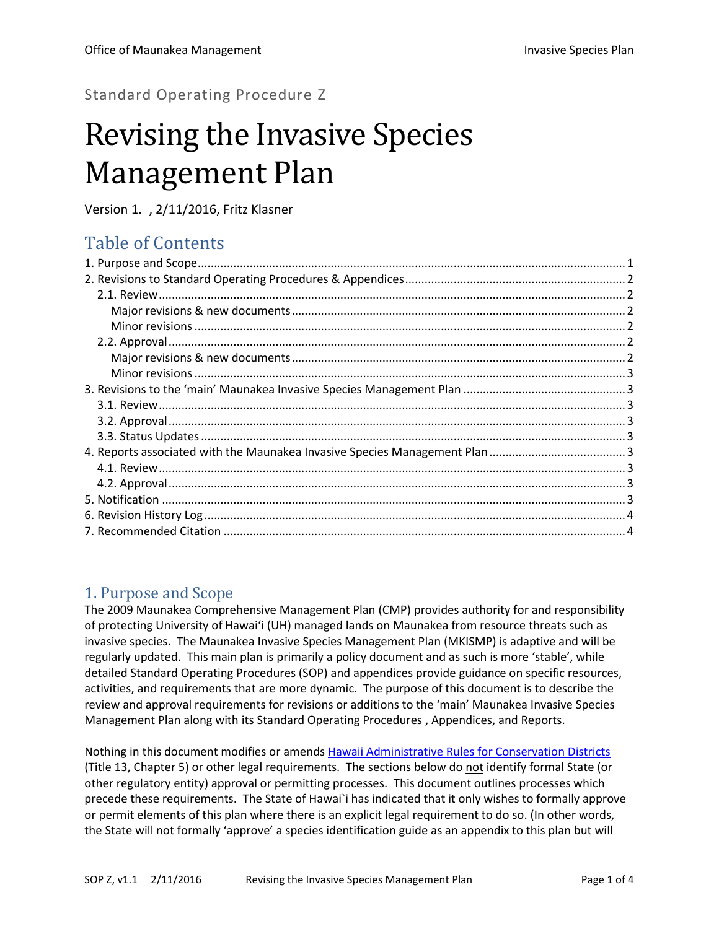Standard Operating Procedure Z

# Revising the Invasive Species Management Plan

Version 1.1, 2/11/2016, Fritz Klasner

## Table of Contents

## <span id="page-0-0"></span>1. Purpose and Scope

The 2009 Maunakea Comprehensive Management Plan (CMP) provides authority for and responsibility of protecting University of Hawai'i (UH) managed lands on Maunakea from resource threats such as invasive species. The Maunakea Invasive Species Management Plan (MKISMP) is adaptive and will be regularly updated. This main plan is primarily a policy document and as such is more 'stable', while detailed Standard Operating Procedures (SOP) and appendices provide guidance on specific resources, activities, and requirements that are more dynamic. The purpose of this document is to describe the review and approval requirements for revisions or additions to the 'main' Maunakea Invasive Species Management Plan along with its Standard Operating Procedures , Appendices, and Reports.

Nothing in this document modifies or amends [Hawaii Administrative Rules for Conservation Districts](http://dlnr.hawaii.gov/occl/rules/) (Title 13, Chapter 5) or other legal requirements. The sections below do not identify formal State (or other regulatory entity) approval or permitting processes. This document outlines processes which precede these requirements. The State of Hawai`i has indicated that it only wishes to formally approve or permit elements of this plan where there is an explicit legal requirement to do so. (In other words, the State will not formally 'approve' a species identification guide as an appendix to this plan but will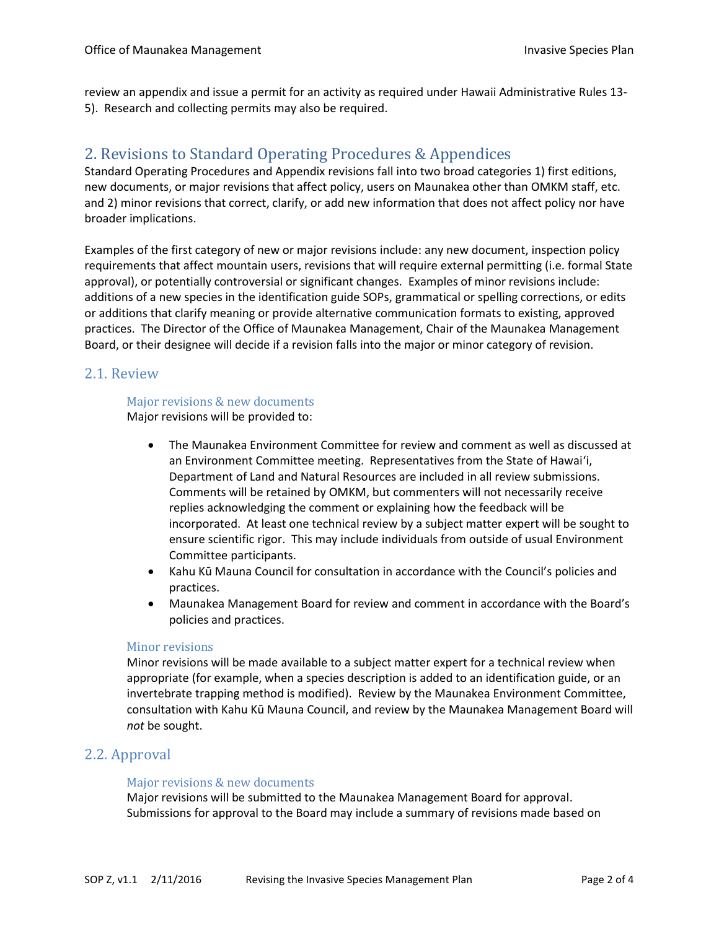<span id="page-1-0"></span>review an appendix and issue a permit for an activity as required under Hawaii Administrative Rules 13- 5). Research and collecting permits may also be required.

## 2. Revisions to Standard Operating Procedures & Appendices

Standard Operating Procedures and Appendix revisions fall into two broad categories 1) first editions, new documents, or major revisions that affect policy, users on Maunakea other than OMKM staff, etc. and 2) minor revisions that correct, clarify, or add new information that does not affect policy nor have broader implications.

Examples of the first category of new or major revisions include: any new document, inspection policy requirements that affect mountain users, revisions that will require external permitting (i.e. formal State approval), or potentially controversial or significant changes. Examples of minor revisions include: additions of a new species in the identification guide SOPs, grammatical or spelling corrections, or edits or additions that clarify meaning or provide alternative communication formats to existing, approved practices. The Director of the Office of Maunakea Management, Chair of the Maunakea Management Board, or their designee will decide if a revision falls into the major or minor category of revision.

#### <span id="page-1-2"></span><span id="page-1-1"></span>2.1. Review

#### Major revisions & new documents

Major revisions will be provided to:

- The Maunakea Environment Committee for review and comment as well as discussed at an Environment Committee meeting. Representatives from the State of Hawai'i, Department of Land and Natural Resources are included in all review submissions. Comments will be retained by OMKM, but commenters will not necessarily receive replies acknowledging the comment or explaining how the feedback will be incorporated. At least one technical review by a subject matter expert will be sought to ensure scientific rigor. This may include individuals from outside of usual Environment Committee participants.
- Kahu Kū Mauna Council for consultation in accordance with the Council's policies and practices.
- Maunakea Management Board for review and comment in accordance with the Board's policies and practices.

#### <span id="page-1-3"></span>Minor revisions

Minor revisions will be made available to a subject matter expert for a technical review when appropriate (for example, when a species description is added to an identification guide, or an invertebrate trapping method is modified). Review by the Maunakea Environment Committee, consultation with Kahu Kū Mauna Council, and review by the Maunakea Management Board will *not* be sought.

#### <span id="page-1-5"></span><span id="page-1-4"></span>2.2. Approval

#### Major revisions & new documents

Major revisions will be submitted to the Maunakea Management Board for approval. Submissions for approval to the Board may include a summary of revisions made based on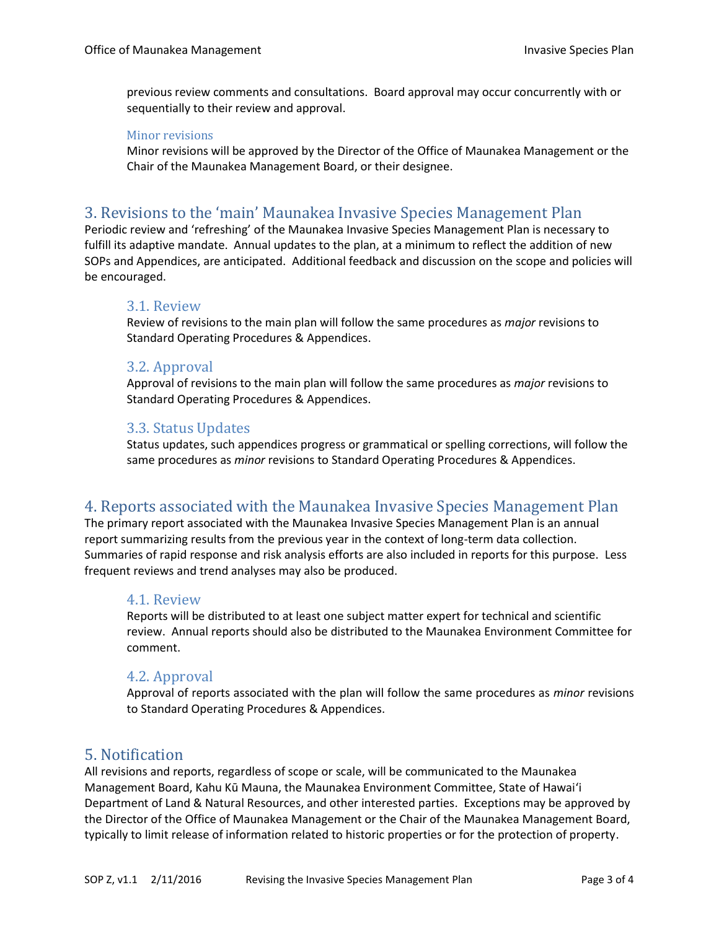previous review comments and consultations. Board approval may occur concurrently with or sequentially to their review and approval.

#### <span id="page-2-0"></span>Minor revisions

Minor revisions will be approved by the Director of the Office of Maunakea Management or the Chair of the Maunakea Management Board, or their designee.

### <span id="page-2-1"></span>3. Revisions to the 'main' Maunakea Invasive Species Management Plan

Periodic review and 'refreshing' of the Maunakea Invasive Species Management Plan is necessary to fulfill its adaptive mandate. Annual updates to the plan, at a minimum to reflect the addition of new SOPs and Appendices, are anticipated. Additional feedback and discussion on the scope and policies will be encouraged.

#### <span id="page-2-2"></span>3.1. Review

Review of revisions to the main plan will follow the same procedures as *major* revisions to Standard Operating Procedures & Appendices.

#### <span id="page-2-3"></span>3.2. Approval

Approval of revisions to the main plan will follow the same procedures as *major* revisions to Standard Operating Procedures & Appendices.

#### <span id="page-2-4"></span>3.3. Status Updates

Status updates, such appendices progress or grammatical or spelling corrections, will follow the same procedures as *minor* revisions to Standard Operating Procedures & Appendices.

## <span id="page-2-5"></span>4. Reports associated with the Maunakea Invasive Species Management Plan

The primary report associated with the Maunakea Invasive Species Management Plan is an annual report summarizing results from the previous year in the context of long-term data collection. Summaries of rapid response and risk analysis efforts are also included in reports for this purpose. Less frequent reviews and trend analyses may also be produced.

#### <span id="page-2-6"></span>4.1. Review

Reports will be distributed to at least one subject matter expert for technical and scientific review. Annual reports should also be distributed to the Maunakea Environment Committee for comment.

#### <span id="page-2-7"></span>4.2. Approval

Approval of reports associated with the plan will follow the same procedures as *minor* revisions to Standard Operating Procedures & Appendices.

#### <span id="page-2-8"></span>5. Notification

All revisions and reports, regardless of scope or scale, will be communicated to the Maunakea Management Board, Kahu Kū Mauna, the Maunakea Environment Committee, State of Hawai'i Department of Land & Natural Resources, and other interested parties. Exceptions may be approved by the Director of the Office of Maunakea Management or the Chair of the Maunakea Management Board, typically to limit release of information related to historic properties or for the protection of property.